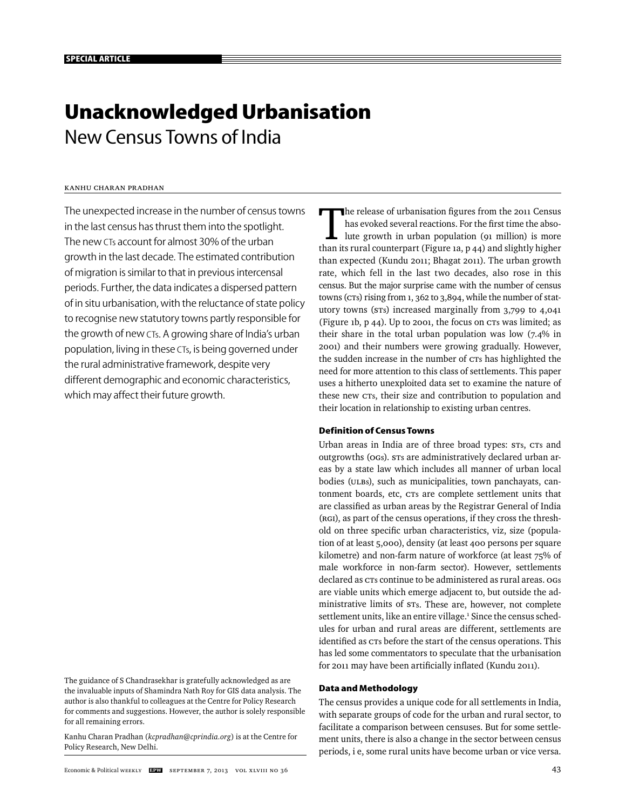# **Unacknowledged Urbanisation**  New Census Towns of India

# Kanhu Charan Pradhan

The unexpected increase in the number of census towns in the last census has thrust them into the spotlight. The new CTs account for almost 30% of the urban growth in the last decade. The estimated contribution of migration is similar to that in previous intercensal periods. Further, the data indicates a dispersed pattern of in situ urbanisation, with the reluctance of state policy to recognise new statutory towns partly responsible for the growth of new CTs. A growing share of India's urban population, living in these CTs, is being governed under the rural administrative framework, despite very different demographic and economic characteristics, which may affect their future growth.

The guidance of S Chandrasekhar is gratefully acknowledged as are the invaluable inputs of Shamindra Nath Roy for GIS data analysis. The author is also thankful to colleagues at the Centre for Policy Research for comments and suggestions. However, the author is solely responsible for all remaining errors.

Kanhu Charan Pradhan (*kcpradhan@cprindia.org*) is at the Centre for Policy Research, New Delhi.

The release of urbanisation figures from the 2011 Census<br>has evoked several reactions. For the first time the abso-<br>lute growth in urban population (91 million) is more<br>than its rural counterpart (Figure 13, p.44) and slig has evoked several reactions. For the first time the absothan its rural counterpart (Figure 1a, p 44) and slightly higher than expected (Kundu 2011; Bhagat 2011). The urban growth rate, which fell in the last two decades, also rose in this census. But the major surprise came with the number of census towns (CTs) rising from 1, 362 to 3,894, while the number of statutory towns (STs) increased marginally from 3,799 to 4,041 (Figure 1b, p 44). Up to 2001, the focus on CTs was limited; as their share in the total urban population was low (7.4% in 2001) and their numbers were growing gradually. However, the sudden increase in the number of CTs has highlighted the need for more attention to this class of settlements. This paper uses a hitherto unexploited data set to examine the nature of these new CTs, their size and contribution to population and their location in relationship to existing urban centres.

## **Definition of Census Towns**

Urban areas in India are of three broad types: STs, CTs and outgrowths (OGs). STs are administratively declared urban areas by a state law which includes all manner of urban local bodies (ULBs), such as municipalities, town panchayats, cantonment boards, etc, CTs are complete settlement units that are classified as urban areas by the Registrar General of India (RGI), as part of the census operations, if they cross the threshold on three specific urban characteristics, viz, size (population of at least 5,000), density (at least 400 persons per square kilometre) and non-farm nature of workforce (at least 75% of male workforce in non-farm sector). However, settlements declared as CTs continue to be administered as rural areas. OGs are viable units which emerge adjacent to, but outside the administrative limits of STs. These are, however, not complete settlement units, like an entire village.<sup>1</sup> Since the census schedules for urban and rural areas are different, settlements are identified as CTs before the start of the census operations. This has led some commentators to speculate that the urbanisation for 2011 may have been artificially inflated (Kundu 2011).

#### **Data and Methodology**

The census provides a unique code for all settlements in India, with separate groups of code for the urban and rural sector, to facilitate a comparison between censuses. But for some settlement units, there is also a change in the sector between census periods, i e, some rural units have become urban or vice versa.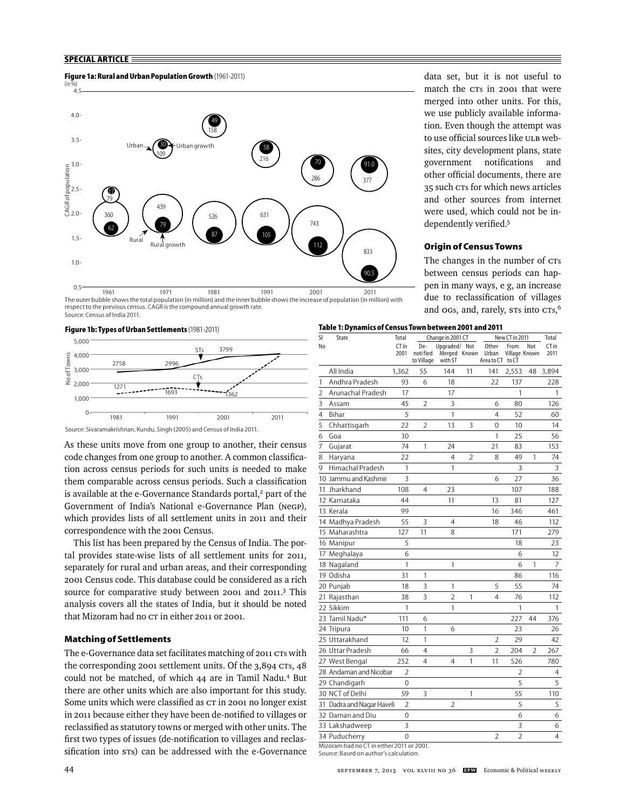## **SPECIAL ARTICLE**

#### **Figure 1a: Rural and Urban Population Growth** (1961-2011)



 1961 1971 1981 1991 2001 2011 The outer bubble shows the total population (in million) and the inner bubble shows the increase of population (in million) with respect to the previous census. CAGR is the compound annual growth rate. Source: Census of India 2011.

#### **Figure 1b: Types of Urban Settlements** (1981-2011)



Source: Sivaramakrishnan, Kundu, Singh (2005) and Census of India 2011.

As these units move from one group to another, their census code changes from one group to another. A common classification across census periods for such units is needed to make them comparable across census periods. Such a classification is available at the e-Governance Standards portal,<sup>2</sup> part of the Government of India's National e-Governance Plan (NeGP), which provides lists of all settlement units in 2011 and their correspondence with the 2001 Census.

This list has been prepared by the Census of India. The portal provides state-wise lists of all settlement units for 2011, separately for rural and urban areas, and their corresponding 2001 Census code. This database could be considered as a rich source for comparative study between 2001 and 2011.<sup>3</sup> This analysis covers all the states of India, but it should be noted that Mizoram had no CT in either 2011 or 2001.

#### **Matching of Settlements**

The e-Governance data set facilitates matching of 2011 CTs with the corresponding 2001 settlement units. Of the 3,894 CTs, 48 could not be matched, of which 44 are in Tamil Nadu.4 But there are other units which are also important for this study. Some units which were classified as  $cr$  in 2001 no longer exist in 2011 because either they have been de-notified to villages or reclassified as statutory towns or merged with other units. The first two types of issues (de-notification to villages and reclassification into sts) can be addressed with the e-Governance

data set, but it is not useful to match the CTs in 2001 that were merged into other units. For this, we use publicly available information. Even though the attempt was to use official sources like ULB websites, city development plans, state government notifications and other official documents, there are 35 such CTs for which news articles and other sources from internet were used, which could not be in-

dependently verified.<sup>5</sup>

**Origin of Census Towns**

The changes in the number of CTs between census periods can happen in many ways, e g, an increase due to reclassification of villages and ogs, and, rarely, sts into cts,<sup>6</sup>

| Table 1: Dynamics of Census Town between 2001 and 2011 |                                                                                     |                |                                |                                          |    |                                    |                       |     |               |
|--------------------------------------------------------|-------------------------------------------------------------------------------------|----------------|--------------------------------|------------------------------------------|----|------------------------------------|-----------------------|-----|---------------|
| SI                                                     | State                                                                               | Total          |                                | Change in 2001 CT                        |    |                                    | New CT in 2011        |     | Total         |
| No                                                     |                                                                                     | CT in<br>2001  | De-<br>noti fied<br>to Village | Uparaded/ Not<br>Merged Known<br>with ST |    | Other<br>Urban<br>Area to CT to CT | From<br>Village Known | Not | CT in<br>2011 |
|                                                        | All India                                                                           | 1,362          | 55                             | 144                                      | 11 | 141                                | 2,553                 | 48  | 3,894         |
| 1                                                      | Andhra Pradesh                                                                      | 93             | 6                              | 18                                       |    | 22                                 | 137                   |     | 228           |
| 2                                                      | Arunachal Pradesh                                                                   | 17             |                                | 17                                       |    |                                    | 1                     |     | 1             |
| 3                                                      | Assam                                                                               | 45             | 2                              | 3                                        |    | 6                                  | 80                    |     | 126           |
| 4                                                      | Bihar                                                                               | 5              |                                | 1                                        |    | 4                                  | 52                    |     | 60            |
| 5                                                      | Chhattisgarh                                                                        | 22             | 2                              | 13                                       | 3  | 0                                  | 10                    |     | 14            |
| 6                                                      | Goa                                                                                 | 30             |                                |                                          |    | 1                                  | 25                    |     | 56            |
| 7                                                      | Gujarat                                                                             | 74             | 1                              | 24                                       |    | 21                                 | 83                    |     | 153           |
| 8                                                      | Haryana                                                                             | 22             |                                | 4                                        | 2  | 8                                  | 49                    | 1   | 74            |
| 9                                                      | Himachal Pradesh                                                                    | 1              |                                | 1                                        |    |                                    | 3                     |     | 3             |
|                                                        | 10 Jammu and Kashmir                                                                | 3              |                                |                                          |    | 6                                  | 27                    |     | 36            |
|                                                        | 11 Jharkhand                                                                        | 108            | 4                              | 23                                       |    |                                    | 107                   |     | 188           |
|                                                        | 12 Karnataka                                                                        | 44             |                                | 11                                       |    | 13                                 | 81                    |     | 127           |
|                                                        | 13 Kerala                                                                           | 99             |                                |                                          |    | 16                                 | 346                   |     | 461           |
|                                                        | 14 Madhya Pradesh                                                                   | 55             | 3                              | 4                                        |    | 18                                 | 46                    |     | 112           |
|                                                        | 15 Maharashtra                                                                      | 127            | 11                             | 8                                        |    |                                    | 171                   |     | 279           |
|                                                        | 16 Manipur                                                                          | 5              |                                |                                          |    |                                    | 18                    |     | 23            |
|                                                        | 17 Meghalaya                                                                        | 6              |                                |                                          |    |                                    | 6                     |     | 12            |
|                                                        | 18 Nagaland                                                                         | 1              |                                | 1                                        |    |                                    | 6                     | 1   | 7             |
|                                                        | 19 Odisha                                                                           | 31             | 1                              |                                          |    |                                    | 86                    |     | 116           |
|                                                        | 20 Punjab                                                                           | 18             | 3                              | 1                                        |    | 5                                  | 55                    |     | 74            |
|                                                        | 21 Rajasthan                                                                        | 38             | 3                              | $\overline{2}$                           | 1  | 4                                  | 76                    |     | 112           |
|                                                        | 22 Sikkim                                                                           | 1              |                                | 1                                        |    |                                    | 1                     |     | 1             |
|                                                        | 23 Tamil Nadu*                                                                      | 111            | 6                              |                                          |    |                                    | 227                   | 44  | 376           |
|                                                        | 24 Tripura                                                                          | 10             | 1                              | 6                                        |    |                                    | 23                    |     | 26            |
|                                                        | 25 Uttarakhand                                                                      | 12             | 1                              |                                          |    | 2                                  | 29                    |     | 42            |
|                                                        | 26 Uttar Pradesh                                                                    | 66             | 4                              |                                          | 3  | $\overline{2}$                     | 204                   | 2   | 267           |
|                                                        | 27 West Bengal                                                                      | 252            | 4                              | 4                                        | 1  | 11                                 | 526                   |     | 780           |
|                                                        | 28 Andaman and Nicobar                                                              | 2              |                                |                                          |    |                                    | 2                     |     | 4             |
|                                                        | 29 Chandigarh                                                                       | 0              |                                |                                          |    |                                    | 5                     |     | 5             |
|                                                        | 30 NCT of Delhi                                                                     | 59             | 3                              |                                          | 1  |                                    | 55                    |     | 110           |
|                                                        | 31 Dadra and Nagar Haveli                                                           | $\overline{2}$ |                                | $\overline{2}$                           |    |                                    | 5                     |     | 5             |
|                                                        | 32 Daman and Diu                                                                    | 0              |                                |                                          |    |                                    | 6                     |     | 6             |
|                                                        | 33 Lakshadweep                                                                      | 3              |                                |                                          |    |                                    | 3                     |     | 6             |
|                                                        | 34 Puducherry                                                                       | $\mathbf 0$    |                                |                                          |    | $\overline{2}$                     | $\overline{2}$        |     | 4             |
|                                                        | Mizoram had no CT in either 2011 or 2001.<br>Source: Based on author's calculation. |                |                                |                                          |    |                                    |                       |     |               |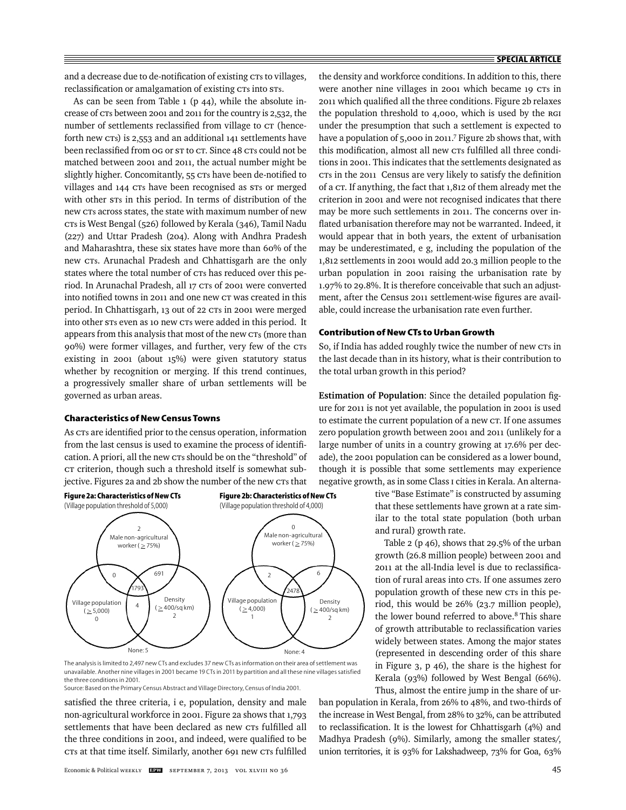and a decrease due to de-notification of existing CTs to villages, reclassification or amalgamation of existing CTs into STs.

As can be seen from Table  $1$  (p 44), while the absolute increase of CTs between 2001 and 2011 for the country is 2,532, the number of settlements reclassified from village to CT (henceforth new CTs) is 2,553 and an additional 141 settlements have been reclassified from og or st to CT. Since 48 CTs could not be matched between 2001 and 2011, the actual number might be slightly higher. Concomitantly, 55 CTs have been de-notified to villages and 144 CTs have been recognised as STs or merged with other  $s$ Ts in this period. In terms of distribution of the new CTs across states, the state with maximum number of new CTs is West Bengal (526) followed by Kerala (346), Tamil Nadu (227) and Uttar Pradesh (204). Along with Andhra Pradesh and Maharashtra, these six states have more than 60% of the new CTs. Arunachal Pradesh and Chhattisgarh are the only states where the total number of CTs has reduced over this period. In Arunachal Pradesh, all 17 CTs of 2001 were converted into notified towns in 2011 and one new CT was created in this period. In Chhattisgarh, 13 out of 22 CTs in 2001 were merged into other STs even as 10 new CTs were added in this period. It appears from this analysis that most of the new CTs (more than 90%) were former villages, and further, very few of the CTs existing in 2001 (about 15%) were given statutory status whether by recognition or merging. If this trend continues, a progressively smaller share of urban settlements will be governed as urban areas.

#### **Characteristics of New Census Towns**

As CTs are identified prior to the census operation, information from the last census is used to examine the process of identification. A priori, all the new CTs should be on the "threshold" of CT criterion, though such a threshold itself is somewhat subjective. Figures 2a and 2b show the number of the new CTs that



The analysis is limited to 2,497 new CTs and excludes 37 new CTs as information on their area of settlement was unavailable. Another nine villages in 2001 became 19 CTs in 2011 by partition and all these nine villages satisfied the three conditions in 2001.

Source: Based on the Primary Census Abstract and Village Directory, Census of India 2001.

satisfied the three criteria, i e, population, density and male non-agricultural workforce in 2001. Figure 2a shows that 1,793 settlements that have been declared as new CTs fulfilled all the three conditions in 2001, and indeed, were qualified to be CTs at that time itself. Similarly, another 691 new CTs fulfilled

the density and workforce conditions. In addition to this, there were another nine villages in 2001 which became 19 CTs in 2011 which qualified all the three conditions. Figure 2b relaxes the population threshold to 4,000, which is used by the RGI under the presumption that such a settlement is expected to have a population of 5,000 in 2011.<sup>7</sup> Figure 2b shows that, with this modification, almost all new CTs fulfilled all three conditions in 2001. This indicates that the settlements designated as CTs in the 2011 Census are very likely to satisfy the definition of a CT. If anything, the fact that 1,812 of them already met the criterion in 2001 and were not recognised indicates that there may be more such settlements in 2011. The concerns over inflated urbanisation therefore may not be warranted. Indeed, it would appear that in both years, the extent of urbanisation may be underestimated, e g, including the population of the 1,812 settlements in 2001 would add 20.3 million people to the urban population in 2001 raising the urbanisation rate by 1.97% to 29.8%. It is therefore conceivable that such an adjustment, after the Census 2011 settlement-wise figures are available, could increase the urbanisation rate even further.

## **Contribution of New CTs to Urban Growth**

So, if India has added roughly twice the number of new CTs in the last decade than in its history, what is their contribution to the total urban growth in this period?

**Estimation of Population:** Since the detailed population figure for 2011 is not yet available, the population in 2001 is used to estimate the current population of a new CT. If one assumes zero population growth between 2001 and 2011 (unlikely for a large number of units in a country growing at 17.6% per decade), the 2001 population can be considered as a lower bound, though it is possible that some settlements may experience negative growth, as in some Class I cities in Kerala. An alterna-

> tive "Base Estimate" is constructed by assuming that these settlements have grown at a rate similar to the total state population (both urban and rural) growth rate.

> Table 2 (p 46), shows that 29.5% of the urban growth (26.8 million people) between 2001 and 2011 at the all-India level is due to reclassification of rural areas into CTs. If one assumes zero population growth of these new CTs in this period, this would be 26% (23.7 million people), the lower bound referred to above.<sup>8</sup> This share of growth attributable to reclassification varies widely between states. Among the major states (represented in descending order of this share in Figure 3, p 46), the share is the highest for Kerala (93%) followed by West Bengal (66%). Thus, almost the entire jump in the share of ur-

ban population in Kerala, from 26% to 48%, and two-thirds of the increase in West Bengal, from 28% to 32%, can be attributed to reclassification. It is the lowest for Chhattisgarh  $(4%)$  and Madhya Pradesh (9%). Similarly, among the smaller states/, union territories, it is 93% for Lakshadweep, 73% for Goa, 63%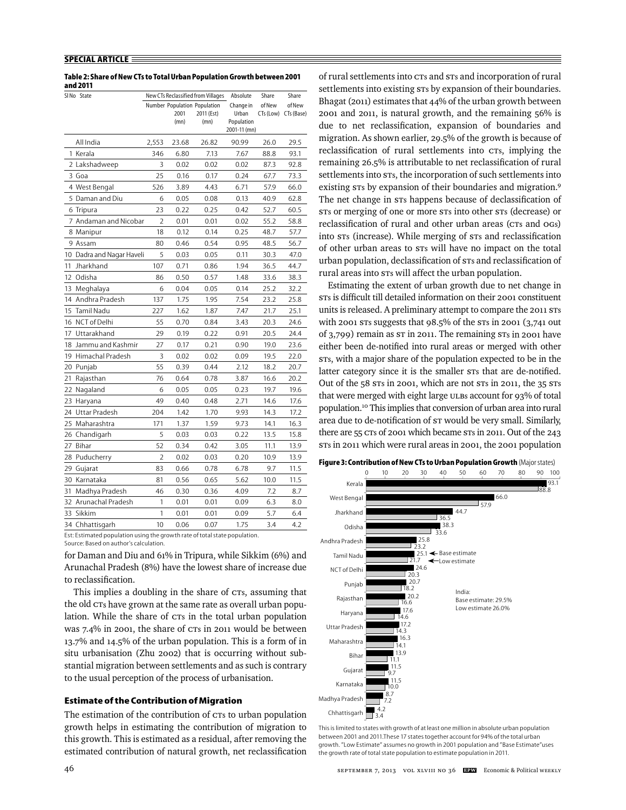#### **SPECIAL ARTICLE**

| Table 2: Share of New CTs to Total Urban Population Growth between 2001 |  |
|-------------------------------------------------------------------------|--|
| and 2011                                                                |  |

|    | SINo State                |                |       | New CTs Reclassified from Villages | Absolute                   | Share  | Share                |
|----|---------------------------|----------------|-------|------------------------------------|----------------------------|--------|----------------------|
|    |                           |                |       | Number Population Population       | Change in                  | of New | of New               |
|    |                           |                | 2001  | 2011 (Est)                         | Urban                      |        | CTs (Low) CTs (Base) |
|    |                           |                | (mn)  | (mn)                               | Population<br>2001-11 (mn) |        |                      |
|    | All India                 | 2,553          | 23.68 | 26.82                              | 90.99                      | 26.0   | 29.5                 |
|    | 1 Kerala                  | 346            | 6.80  | 7.13                               | 7.67                       | 88.8   | 93.1                 |
|    | 2 Lakshadweep             | 3              | 0.02  | 0.02                               | 0.02                       | 87.3   | 92.8                 |
|    | 3 Goa                     | 25             | 0.16  | 0.17                               | 0.24                       | 67.7   | 73.3                 |
|    | 4 West Bengal             | 526            | 3.89  | 4.43                               | 6.71                       | 57.9   | 66.0                 |
|    | 5 Daman and Diu           | 6              | 0.05  | 0.08                               | 0.13                       | 40.9   | 62.8                 |
|    | 6 Tripura                 | 23             | 0.22  | 0.25                               | 0.42                       | 52.7   | 60.5                 |
|    | 7 Andaman and Nicobar     | $\overline{2}$ | 0.01  | 0.01                               | 0.02                       | 55.2   | 58.8                 |
|    | 8 Manipur                 | 18             | 0.12  | 0.14                               | 0.25                       | 48.7   | 57.7                 |
|    | 9 Assam                   | 80             | 0.46  | 0.54                               | 0.95                       | 48.5   | 56.7                 |
|    | 10 Dadra and Nagar Haveli | 5              | 0.03  | 0.05                               | 0.11                       | 30.3   | 47.0                 |
| 11 | Jharkhand                 | 107            | 0.71  | 0.86                               | 1.94                       | 36.5   | 44.7                 |
|    | 12 Odisha                 | 86             | 0.50  | 0.57                               | 1.48                       | 33.6   | 38.3                 |
| 13 | Meghalaya                 | 6              | 0.04  | 0.05                               | 0.14                       | 25.2   | 32.2                 |
| 14 | Andhra Pradesh            | 137            | 1.75  | 1.95                               | 7.54                       | 23.2   | 25.8                 |
| 15 | Tamil Nadu                | 227            | 1.62  | 1.87                               | 7.47                       | 21.7   | 25.1                 |
|    | 16 NCT of Delhi           | 55             | 0.70  | 0.84                               | 3.43                       | 20.3   | 24.6                 |
| 17 | Uttarakhand               | 29             | 0.19  | 0.22                               | 0.91                       | 20.5   | 24.4                 |
|    | 18 Jammu and Kashmir      | 27             | 0.17  | 0.21                               | 0.90                       | 19.0   | 23.6                 |
| 19 | Himachal Pradesh          | 3              | 0.02  | 0.02                               | 0.09                       | 19.5   | 22.0                 |
|    | 20 Punjab                 | 55             | 0.39  | 0.44                               | 2.12                       | 18.2   | 20.7                 |
| 21 | Rajasthan                 | 76             | 0.64  | 0.78                               | 3.87                       | 16.6   | 20.2                 |
| 22 | Nagaland                  | 6              | 0.05  | 0.05                               | 0.23                       | 19.7   | 19.6                 |
|    | 23 Haryana                | 49             | 0.40  | 0.48                               | 2.71                       | 14.6   | 17.6                 |
| 24 | Uttar Pradesh             | 204            | 1.42  | 1.70                               | 9.93                       | 14.3   | 17.2                 |
| 25 | Maharashtra               | 171            | 1.37  | 1.59                               | 9.73                       | 14.1   | 16.3                 |
| 26 | Chandigarh                | 5              | 0.03  | 0.03                               | 0.22                       | 13.5   | 15.8                 |
| 27 | Bihar                     | 52             | 0.34  | 0.42                               | 3.05                       | 11.1   | 13.9                 |
| 28 | Puducherry                | $\overline{2}$ | 0.02  | 0.03                               | 0.20                       | 10.9   | 13.9                 |
| 29 | Gujarat                   | 83             | 0.66  | 0.78                               | 6.78                       | 9.7    | 11.5                 |
| 30 | Karnataka                 | 81             | 0.56  | 0.65                               | 5.62                       | 10.0   | 11.5                 |
| 31 | Madhya Pradesh            | 46             | 0.30  | 0.36                               | 4.09                       | 7.2    | 8.7                  |
| 32 | Arunachal Pradesh         | 1              | 0.01  | 0.01                               | 0.09                       | 6.3    | 8.0                  |
| 33 | Sikkim                    | 1              | 0.01  | 0.01                               | 0.09                       | 5.7    | 6.4                  |
|    | 34 Chhattisgarh           | 10             | 0.06  | 0.07                               | 1.75                       | 3.4    | 4.2                  |

Est: Estimated population using the growth rate of total state population. Source: Based on author's calculation.

for Daman and Diu and 61% in Tripura, while Sikkim (6%) and Arunachal Pradesh (8%) have the lowest share of increase due to reclassification.

This implies a doubling in the share of CTs, assuming that the old CTs have grown at the same rate as overall urban population. While the share of CTs in the total urban population was 7.4% in 2001, the share of CTs in 2011 would be between 13.7% and 14.5% of the urban population. This is a form of in situ urbanisation (Zhu 2002) that is occurring without substantial migration between settlements and as such is contrary to the usual perception of the process of urbanisation.

## **Estimate of the Contribution of Migration**

The estimation of the contribution of CTs to urban population growth helps in estimating the contribution of migration to this growth. This is estimated as a residual, after removing the estimated contribution of natural growth, net reclassification

of rural settlements into CTs and STs and incorporation of rural settlements into existing  $s$ Ts by expansion of their boundaries. Bhagat (2011) estimates that 44% of the urban growth between 2001 and 2011, is natural growth, and the remaining 56% is due to net reclassification, expansion of boundaries and migration. As shown earlier, 29.5% of the growth is because of reclassification of rural settlements into CTs, implying the remaining 26.5% is attributable to net reclassification of rural settlements into s $rs$ , the incorporation of such settlements into existing sts by expansion of their boundaries and migration.<sup>9</sup> The net change in  $s\tau s$  happens because of declassification of STs or merging of one or more STs into other STs (decrease) or reclassification of rural and other urban areas (CTs and OGs) into sts (increase). While merging of sts and reclassification of other urban areas to STs will have no impact on the total urban population, declassification of sts and reclassification of rural areas into STs will affect the urban population.

Estimating the extent of urban growth due to net change in sts is difficult till detailed information on their 2001 constituent units is released. A preliminary attempt to compare the 2011 STs with 2001 STs suggests that 98.5% of the STs in 2001 (3,741 out of 3,799) remain as ST in 2011. The remaining STs in 2001 have either been de-notified into rural areas or merged with other STs, with a major share of the population expected to be in the latter category since it is the smaller sTs that are de-notified. Out of the 58 STs in 2001, which are not STs in 2011, the 35 STs that were merged with eight large ULBs account for 93% of total population.10 This implies that conversion of urban area into rural area due to de-notification of  $s\tau$  would be very small. Similarly, there are 55 CTs of 2001 which became STs in 2011. Out of the 243 STs in 2011 which were rural areas in 2001, the 2001 population



This is limited to states with growth of at least one million in absolute urban population between 2001 and 2011.These 17 states together account for 94% of the total urban growth. "Low Estimate" assumes no growth in 2001 population and "Base Estimate"uses the growth rate of total state population to estimate population in 2011.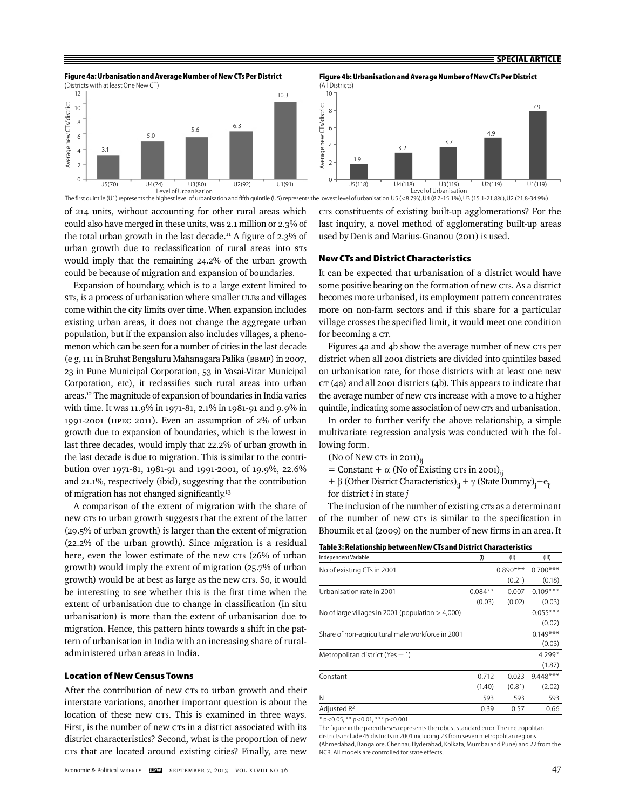



**Figure 4b: Urbanisation and Average Number of New CTs Per District**  (All Districts)



of 214 units, without accounting for other rural areas which could also have merged in these units, was 2.1 million or 2.3% of the total urban growth in the last decade.<sup>11</sup> A figure of 2.3% of CTs constituents of existing built-up agglomerations? For the last inquiry, a novel method of agglomerating built-up areas used by Denis and Marius-Gnanou (2011) is used.

The first quintile (U1) represents the highest level of urbanisation and fifth quintile (U5) represents the lowest level of urbanisation. U5 (<8.7%), U4 (8.7-15.1%), U3 (15.1-21.8%), U2 (21.8-34.9%).

## **New CTs and District Characteristics**

It can be expected that urbanisation of a district would have some positive bearing on the formation of new CTs. As a district becomes more urbanised, its employment pattern concentrates more on non-farm sectors and if this share for a particular village crosses the specified limit, it would meet one condition for becoming a CT.

Figures 4a and 4b show the average number of new CTs per district when all 2001 districts are divided into quintiles based on urbanisation rate, for those districts with at least one new CT (4a) and all 2001 districts (4b). This appears to indicate that the average number of new CTs increase with a move to a higher quintile, indicating some association of new CTs and urbanisation.

In order to further verify the above relationship, a simple multivariate regression analysis was conducted with the following form.

- (No of New  $crs$  in 2011) $_{ii}$
- = Constant +  $\alpha$  (No of Existing CTs in 2001)<sub>ii</sub>
- + β (Other District Characteristics)<sub>ij</sub> + γ (State Dummy)<sub>j</sub>+e<sub>ij</sub> for district *i* in state *j*

The inclusion of the number of existing CTs as a determinant of the number of new CTs is similar to the specification in Bhoumik et al (2009) on the number of new firms in an area. It

|  | Table 3: Relationship between New CTs and District Characteristics |
|--|--------------------------------------------------------------------|
|--|--------------------------------------------------------------------|

| Independent Variable                                | (1)       | (II)       | (III)              |
|-----------------------------------------------------|-----------|------------|--------------------|
| No of existing CTs in 2001                          |           | $0.890***$ | $0.700***$         |
|                                                     |           | (0.21)     | (0.18)             |
| Urbanisation rate in 2001                           | $0.084**$ |            | $0.007 - 0.109***$ |
|                                                     | (0.03)    | (0.02)     | (0.03)             |
| No of large villages in 2001 (population $>$ 4,000) |           |            | $0.055***$         |
|                                                     |           |            | (0.02)             |
| Share of non-agricultural male workforce in 2001    |           |            | $0.149***$         |
|                                                     |           |            | (0.03)             |
| Metropolitan district (Yes $= 1$ )                  |           |            | $4.299*$           |
|                                                     |           |            | (1.87)             |
| Constant                                            | $-0.712$  |            | $0.023 -9.448***$  |
|                                                     | (1.40)    | (0.81)     | (2.02)             |
| N                                                   | 593       | 593        | 593                |
| Adjusted $R^2$                                      | 0.39      | 0.57       | 0.66               |
|                                                     |           |            |                    |

\* p<0.05, \*\* p<0.01, \*\*\* p<0.001

The figure in the parentheses represents the robust standard error. The metropolitan districts include 45 districts in 2001 including 23 from seven metropolitan regions (Ahmedabad, Bangalore, Chennai, Hyderabad, Kolkata, Mumbai and Pune) and 22 from the NCR. All models are controlled for state effects.

urban growth due to reclassification of rural areas into sts would imply that the remaining 24.2% of the urban growth could be because of migration and expansion of boundaries.

Expansion of boundary, which is to a large extent limited to STs, is a process of urbanisation where smaller ULBs and villages come within the city limits over time. When expansion includes existing urban areas, it does not change the aggregate urban population, but if the expansion also includes villages, a phenomenon which can be seen for a number of cities in the last decade (e g, 111 in Bruhat Bengaluru Mahanagara Palika (BBMP) in 2007, 23 in Pune Municipal Corporation, 53 in Vasai-Virar Municipal Corporation, etc), it reclassifies such rural areas into urban areas.12 The magnitude of expansion of boundaries in India varies with time. It was 11.9% in 1971-81, 2.1% in 1981-91 and 9.9% in 1991-2001 (HPEC 2011). Even an assumption of 2% of urban growth due to expansion of boundaries, which is the lowest in last three decades, would imply that 22.2% of urban growth in the last decade is due to migration. This is similar to the contribution over 1971-81, 1981-91 and 1991-2001, of 19.9%, 22.6% and 21.1%, respectively (ibid), suggesting that the contribution of migration has not changed significantly.<sup>13</sup>

A comparison of the extent of migration with the share of new CTs to urban growth suggests that the extent of the latter (29.5% of urban growth) is larger than the extent of migration (22.2% of the urban growth). Since migration is a residual here, even the lower estimate of the new CTs (26% of urban growth) would imply the extent of migration (25.7% of urban growth) would be at best as large as the new CTs. So, it would be interesting to see whether this is the first time when the extent of urbanisation due to change in classification (in situ urbanisation) is more than the extent of urbanisation due to migration. Hence, this pattern hints towards a shift in the pattern of urbanisation in India with an increasing share of ruraladministered urban areas in India.

# **Location of New Census Towns**

After the contribution of new crs to urban growth and their interstate variations, another important question is about the location of these new CTs. This is examined in three ways. First, is the number of new CTs in a district associated with its district characteristics? Second, what is the proportion of new CTs that are located around existing cities? Finally, are new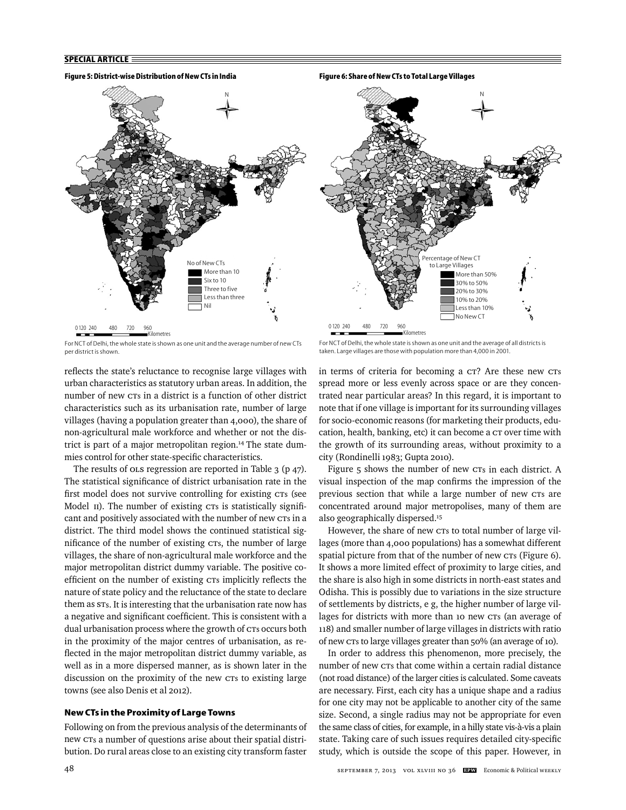

For NCT of Delhi, the whole state is shown as one unit and the average number of new CTs per district is shown.

reflects the state's reluctance to recognise large villages with urban characteristics as statutory urban areas. In addition, the number of new CTs in a district is a function of other district characteristics such as its urbanisation rate, number of large villages (having a population greater than 4,000), the share of non-agricultural male workforce and whether or not the district is part of a major metropolitan region.<sup>14</sup> The state dummies control for other state-specific characteristics.

The results of ola regression are reported in Table 3 (p 47). The statistical significance of district urbanisation rate in the first model does not survive controlling for existing CTs (see Model II). The number of existing CTs is statistically significant and positively associated with the number of new CTs in a district. The third model shows the continued statistical significance of the number of existing CTs, the number of large villages, the share of non-agricultural male workforce and the major metropolitan district dummy variable. The positive coefficient on the number of existing CTs implicitly reflects the nature of state policy and the reluctance of the state to declare them as STs. It is interesting that the urbanisation rate now has a negative and significant coefficient. This is consistent with a dual urbanisation process where the growth of CTs occurs both in the proximity of the major centres of urbanisation, as reflected in the major metropolitan district dummy variable, as well as in a more dispersed manner, as is shown later in the discussion on the proximity of the new CTs to existing large towns (see also Denis et al 2012).

# **New CTs in the Proximity of Large Towns**

Following on from the previous analysis of the determinants of new CTs a number of questions arise about their spatial distribution. Do rural areas close to an existing city transform faster

For NCT of Delhi, the whole state is shown as one unit and the average of all districts is taken. Large villages are those with population more than 4,000 in 2001.

Kilometres

ercentage of New CT to Large Villages

> More than 50% 30% to 50% 20% to 30% 10% to 20% Less than 10% No New CT

N

in terms of criteria for becoming a CT? Are these new CTs spread more or less evenly across space or are they concentrated near particular areas? In this regard, it is important to note that if one village is important for its surrounding villages for socio-economic reasons (for marketing their products, education, health, banking, etc) it can become a CT over time with the growth of its surrounding areas, without proximity to a city (Rondinelli 1983; Gupta 2010).

Figure 5 shows the number of new CTs in each district. A visual inspection of the map confirms the impression of the previous section that while a large number of new CTs are concentrated around major metropolises, many of them are also geographically dispersed.15

However, the share of new CTs to total number of large villages (more than 4,000 populations) has a somewhat different spatial picture from that of the number of new CTs (Figure 6). It shows a more limited effect of proximity to large cities, and the share is also high in some districts in north-east states and Odisha. This is possibly due to variations in the size structure of settlements by districts, e g, the higher number of large villages for districts with more than 10 new CTs (an average of 118) and smaller number of large villages in districts with ratio of new CTs to large villages greater than 50% (an average of 10).

In order to address this phenomenon, more precisely, the number of new CTs that come within a certain radial distance (not road distance) of the larger cities is calculated. Some caveats are necessary. First, each city has a unique shape and a radius for one city may not be applicable to another city of the same size. Second, a single radius may not be appropriate for even the same class of cities, for example, in a hilly state vis-à-vis a plain state. Taking care of such issues requires detailed city-specific study, which is outside the scope of this paper. However, in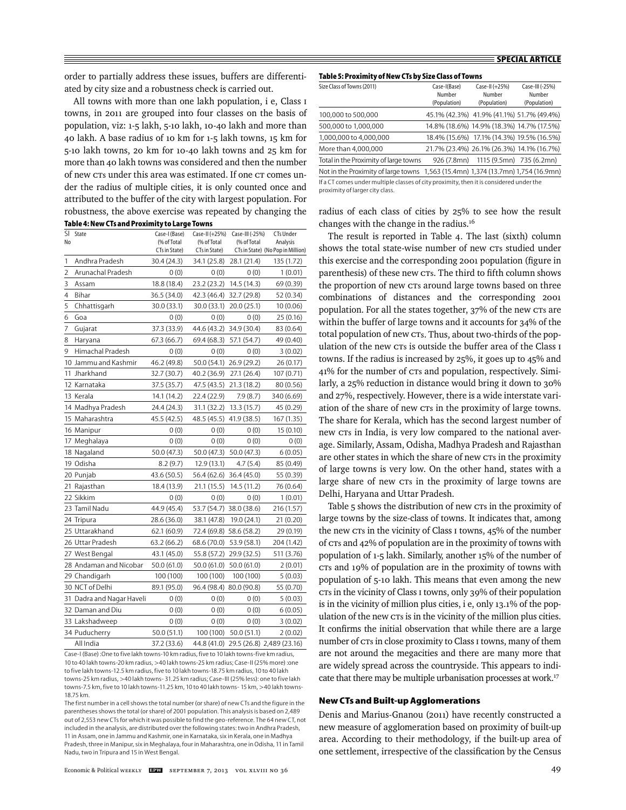order to partially address these issues, buffers are differentiated by city size and a robustness check is carried out.

All towns with more than one lakh population, i e, Class I towns, in 2011 are grouped into four classes on the basis of population, viz: 1-5 lakh, 5-10 lakh, 10-40 lakh and more than 40 lakh. A base radius of 10 km for 1-5 lakh towns, 15 km for 5-10 lakh towns, 20 km for 10-40 lakh towns and 25 km for more than 40 lakh towns was considered and then the number of new CTs under this area was estimated. If one CT comes under the radius of multiple cities, it is only counted once and attributed to the buffer of the city with largest population. For robustness, the above exercise was repeated by changing the radius of each class of cities by 25% to see how the result **Table 4: New CTs and Proximity to Large Towns**

| <sup>SI</sup>  | State                     | Case-I (Base)                | Case-II (+25%)               | Case-III (-25%) | <b>CTs Under</b>                              |
|----------------|---------------------------|------------------------------|------------------------------|-----------------|-----------------------------------------------|
| No             |                           | (% of Total<br>CTs in State) | (% of Total<br>CTs in State) | (% of Total     | Analysis<br>CTs in State) (No Pop in Million) |
| 1              | Andhra Pradesh            | 30.4 (24.3)                  | 34.1 (25.8)                  | 28.1 (21.4)     | 135 (1.72)                                    |
| $\overline{2}$ | Arunachal Pradesh         | 0(0)                         | 0(0)                         | 0(0)            | 1(0.01)                                       |
| 3              | Assam                     |                              | 23.2 (23.2)                  | 14.5 (14.3)     |                                               |
| 4              | Bihar                     | 18.8 (18.4)                  | 42.3 (46.4)                  |                 | 69 (0.39)                                     |
| 5              | Chhattisgarh              | 36.5 (34.0)                  |                              | 32.7 (29.8)     | 52 (0.34)                                     |
|                |                           | 30.0 (33.1)                  | 30.0 (33.1)                  | 20.0 (25.1)     | 10 (0.06)                                     |
| 6              | Goa                       | 0(0)                         | 0(0)                         | 0(0)            | 25 (0.16)                                     |
| 7              | Gujarat                   | 37.3 (33.9)                  | 44.6 (43.2)                  | 34.9 (30.4)     | 83 (0.64)                                     |
| 8              | Haryana                   | 67.3 (66.7)                  | 69.4 (68.3)                  | 57.1 (54.7)     | 49 (0.40)                                     |
| 9              | Himachal Pradesh          | 0(0)                         | 0(0)                         | 0(0)            | 3(0.02)                                       |
|                | 10 Jammu and Kashmir      | 46.2 (49.8)                  | 50.0 (54.1)                  | 26.9 (29.2)     | 26 (0.17)                                     |
| 11             | Jharkhand                 | 32.7 (30.7)                  | 40.2 (36.9)                  | 27.1 (26.4)     | 107 (0.71)                                    |
|                | 12 Karnataka              | 37.5 (35.7)                  | 47.5 (43.5)                  | 21.3 (18.2)     | 80 (0.56)                                     |
|                | 13 Kerala                 | 14.1 (14.2)                  | 22.4 (22.9)                  | 7.9 (8.7)       | 340 (6.69)                                    |
|                | 14 Madhya Pradesh         | 24.4 (24.3)                  | 31.1 (32.2)                  | 13.3 (15.7)     | 45 (0.29)                                     |
|                | 15 Maharashtra            | 45.5 (42.5)                  | 48.5 (45.5)                  | 41.9 (38.5)     | 167 (1.35)                                    |
|                | 16 Manipur                | 0(0)                         | 0(0)                         | 0(0)            | 15 (0.10)                                     |
|                | 17 Meghalaya              | 0(0)                         | 0(0)                         | 0(0)            | 0(0)                                          |
|                | 18 Nagaland               | 50.0 (47.3)                  | 50.0 (47.3)                  | 50.0 (47.3)     | 6 (0.05)                                      |
|                | 19 Odisha                 | 8.2(9.7)                     | 12.9 (13.1)                  | 4.7(5.4)        | 85 (0.49)                                     |
|                | 20 Punjab                 | 43.6 (50.5)                  | 56.4 (62.6)                  | 36.4 (45.0)     | 55 (0.39)                                     |
|                | 21 Rajasthan              | 18.4 (13.9)                  | 21.1 (15.5)                  | 14.5 (11.2)     | 76 (0.64)                                     |
|                | 22 Sikkim                 | 0(0)                         | 0(0)                         | 0(0)            | 1(0.01)                                       |
|                | 23 Tamil Nadu             | 44.9 (45.4)                  | 53.7 (54.7)                  | 38.0 (38.6)     | 216 (1.57)                                    |
|                | 24 Tripura                | 28.6 (36.0)                  | 38.1 (47.8)                  | 19.0 (24.1)     | 21 (0.20)                                     |
|                | 25 Uttarakhand            | 62.1 (60.9)                  | 72.4 (69.8) 58.6 (58.2)      |                 | 29 (0.19)                                     |
|                | 26 Uttar Pradesh          | 63.2 (66.2)                  | 68.6 (70.0)                  | 53.9 (58.1)     | 204 (1.42)                                    |
|                | 27 West Bengal            | 43.1 (45.0)                  | 55.8 (57.2)                  | 29.9 (32.5)     | 511 (3.76)                                    |
|                | 28 Andaman and Nicobar    | 50.0 (61.0)                  | 50.0 (61.0)                  | 50.0 (61.0)     | 2(0.01)                                       |
|                | 29 Chandigarh             | 100 (100)                    | 100 (100)                    | 100 (100)       | 5 (0.03)                                      |
|                | 30 NCT of Delhi           | 89.1 (95.0)                  | 96.4 (98.4) 80.0 (90.8)      |                 | 55 (0.70)                                     |
|                | 31 Dadra and Nagar Haveli | 0(0)                         | 0(0)                         | 0(0)            | 5 (0.03)                                      |
|                | 32 Daman and Diu          | 0(0)                         | 0(0)                         | 0(0)            | 6(0.05)                                       |
|                | 33 Lakshadweep            | 0(0)                         | 0(0)                         | 0(0)            | 3(0.02)                                       |
|                | 34 Puducherry             | 50.0 (51.1)                  | 100 (100)                    | 50.0(51.1)      | 2(0.02)                                       |
|                | All India                 | 37.2 (33.6)                  |                              |                 | 44.8 (41.0) 29.5 (26.8) 2,489 (23.16)         |

Case-I (Base) :One to five lakh towns-10 km radius, five to 10 lakh towns-five km radius, 10 to 40 lakh towns-20 km radius, >40 lakh towns-25 km radius; Case-II (25% more) :one to five lakh towns-12.5 km radius, five to 10 lakh towns-18.75 km radius, 10 to 40 lakh towns-25 km radius, >40 lakh towns- 31.25 km radius; Case-III (25% less): one to five lakh towns-7.5 km, five to 10 lakh towns-11.25 km, 10 to 40 lakh towns- 15 km, >40 lakh towns-18.75 km.

The first number in a cell shows the total number (or share) of new CTs and the figure in the parentheses shows the total (or share) of 2001 population. This analysis is based on 2,489 out of 2,553 new CTs for which it was possible to find the geo-reference. The 64 new CT, not included in the analysis, are distributed over the following states: two in Andhra Pradesh, 11 in Assam, one in Jammu and Kashmir, one in Karnataka, six in Kerala, one in Madhya Pradesh, three in Manipur, six in Meghalaya, four in Maharashtra, one in Odisha, 11 in Tamil Nadu, two in Tripura and 15 in West Bengal.

| Table 5: Proximity of New CTs by Size Class of Towns |
|------------------------------------------------------|
|------------------------------------------------------|

| Size Class of Towns (2011)                                                                                                 | Case-I(Base)<br>Number | Case-II (+25%)<br>Number                  | Case-III (-25%)<br>Number |
|----------------------------------------------------------------------------------------------------------------------------|------------------------|-------------------------------------------|---------------------------|
|                                                                                                                            | (Population)           | (Population)                              | (Population)              |
| 100,000 to 500,000                                                                                                         |                        | 45.1% (42.3%) 41.9% (41.1%) 51.7% (49.4%) |                           |
| 500,000 to 1,000,000                                                                                                       |                        | 14.8% (18.6%) 14.9% (18.3%) 14.7% (17.5%) |                           |
| 1,000,000 to 4,000,000                                                                                                     |                        | 18.4% (15.6%) 17.1% (14.3%) 19.5% (16.5%) |                           |
| More than 4,000,000                                                                                                        |                        | 21.7% (23.4%) 26.1% (26.3%) 14.1% (16.7%) |                           |
| Total in the Proximity of large towns                                                                                      |                        | 926 (7.8mn) 1115 (9.5mn) 735 (6.2mn)      |                           |
| Not in the Proximity of large towns 1,563 (15.4mn) 1,374 (13.7mn) 1,754 (16.9mn)                                           |                        |                                           |                           |
| If a CT comes under multiple classes of city proximity, then it is considered under the<br>proximity of larger city class. |                        |                                           |                           |

changes with the change in the radius.16 The result is reported in Table 4. The last (sixth) column shows the total state-wise number of new CTs studied under this exercise and the corresponding 2001 population (figure in parenthesis) of these new CTs. The third to fifth column shows the proportion of new CTs around large towns based on three combinations of distances and the corresponding 2001 population. For all the states together, 37% of the new CTs are within the buffer of large towns and it accounts for 34% of the total population of new CTs. Thus, about two-thirds of the population of the new CTs is outside the buffer area of the Class I towns. If the radius is increased by 25%, it goes up to 45% and 41% for the number of CTs and population, respectively. Similarly, a 25% reduction in distance would bring it down to 30% and 27%, respectively. However, there is a wide interstate variation of the share of new CTs in the proximity of large towns. The share for Kerala, which has the second largest number of new CTs in India, is very low compared to the national average. Similarly, Assam, Odisha, Madhya Pradesh and Rajasthan are other states in which the share of new CTs in the proximity of large towns is very low. On the other hand, states with a large share of new CTs in the proximity of large towns are Delhi, Haryana and Uttar Pradesh.

Table 5 shows the distribution of new CTs in the proximity of large towns by the size-class of towns. It indicates that, among the new CTs in the vicinity of Class I towns, 45% of the number of CTs and 42% of population are in the proximity of towns with population of 1-5 lakh. Similarly, another 15% of the number of CTs and 19% of population are in the proximity of towns with population of 5-10 lakh. This means that even among the new CTs in the vicinity of Class I towns, only 39% of their population is in the vicinity of million plus cities, i e, only 13.1% of the population of the new CTs is in the vicinity of the million plus cities. It confirms the initial observation that while there are a large number of CTs in close proximity to Class I towns, many of them are not around the megacities and there are many more that are widely spread across the countryside. This appears to indicate that there may be multiple urbanisation processes at work.<sup>17</sup>

#### **New CTs and Built-up Agglomerations**

Denis and Marius-Gnanou (2011) have recently constructed a new measure of agglomeration based on proximity of built-up area. According to their methodology, if the built-up area of one settlement, irrespective of the classification by the Census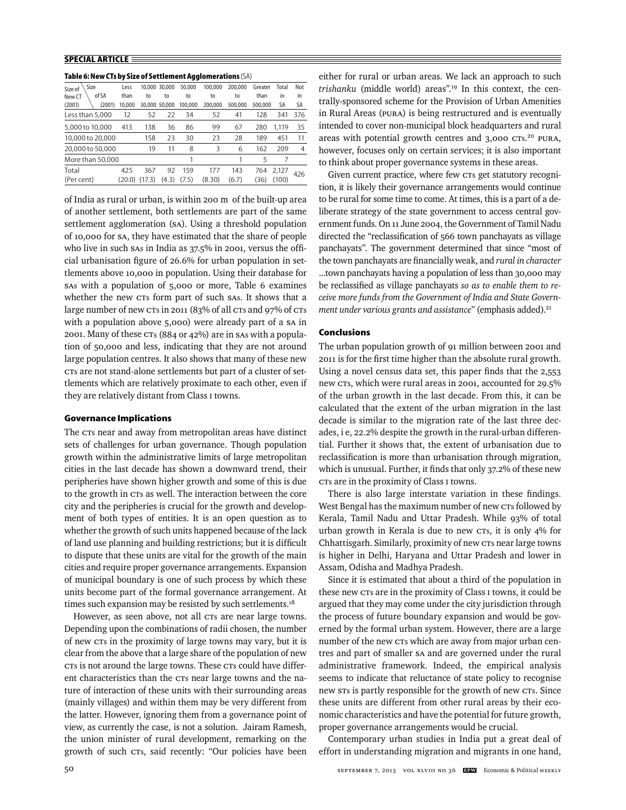| Size<br>Size of  | Less   |        | 10.000 30.000 | 50.000  | 100,000 | 200.000 | Greater | Total | Not            |
|------------------|--------|--------|---------------|---------|---------|---------|---------|-------|----------------|
| of SA<br>New CT  | than   | to     | to            | to      | to      | to      | than    | in    | in             |
| (2001)<br>(2001) | 10.000 |        | 30.000 50.000 | 100.000 | 200.000 | 500.000 | 500.000 | SA    | SA             |
| Less than 5,000  | 12     | 52     | 22            | 34      | 52      | 41      | 128     | 341   | 376            |
| 5,000 to 10,000  | 413    | 138    | 36            | 86      | 99      | 67      | 280     | 1.119 | 35             |
| 10,000 to 20,000 |        | 158    | 23            | 30      | 23      | 28      | 189     | 451   | 11             |
| 20,000 to 50,000 |        | 19     | 11            | 8       | 3       | 6       | 162     | 209   | $\overline{4}$ |
| More than 50,000 |        |        |               |         |         |         | 5       |       |                |
| Total            | 425    | 367    | 92            | 159     | 177     | 143     | 764     | 2,127 | 426            |
| (Per cent)       | (20.0) | (17.3) | (4.3)         | (7.5)   | (8.30)  | (6.7)   | (36)    | (100) |                |

**Table 6: New CTs by Size of Settlement Agglomerations** (SA)

of India as rural or urban, is within 200 m of the built-up area of another settlement, both settlements are part of the same settlement agglomeration (SA). Using a threshold population of 10,000 for SA, they have estimated that the share of people who live in such sas in India as 37.5% in 2001, versus the official urbanisation figure of 26.6% for urban population in settlements above 10,000 in population. Using their database for SAs with a population of 5,000 or more, Table 6 examines whether the new CTs form part of such SAs. It shows that a large number of new CTs in 2011 (83% of all CTs and 97% of CTs with a population above 5,000) were already part of a SA in 2001. Many of these CTs (884 or 42%) are in SAs with a population of 50,000 and less, indicating that they are not around large population centres. It also shows that many of these new CTs are not stand-alone settlements but part of a cluster of settlements which are relatively proximate to each other, even if they are relatively distant from Class I towns.

#### **Governance Implications**

The CTs near and away from metropolitan areas have distinct sets of challenges for urban governance. Though population growth within the administrative limits of large metropolitan cities in the last decade has shown a downward trend, their peripheries have shown higher growth and some of this is due to the growth in CTs as well. The interaction between the core city and the peripheries is crucial for the growth and development of both types of entities. It is an open question as to whether the growth of such units happened because of the lack of land use planning and building restrictions; but it is difficult to dispute that these units are vital for the growth of the main cities and require proper governance arrangements. Expansion of municipal boundary is one of such process by which these units become part of the formal governance arrangement. At times such expansion may be resisted by such settlements.<sup>18</sup>

However, as seen above, not all CTs are near large towns. Depending upon the combinations of radii chosen, the number of new CTs in the proximity of large towns may vary, but it is clear from the above that a large share of the population of new CTs is not around the large towns. These CTs could have different characteristics than the CTs near large towns and the nature of interaction of these units with their surrounding areas (mainly villages) and within them may be very different from the latter. However, ignoring them from a governance point of view, as currently the case, is not a solution. Jairam Ramesh, the union minister of rural development, remarking on the growth of such CTs, said recently: "Our policies have been

either for rural or urban areas. We lack an approach to such *trishanku* (middle world) areas".19 In this context, the centrally-sponsored scheme for the Provision of Urban Amenities in Rural Areas (PURA) is being restructured and is eventually intended to cover non-municipal block headquarters and rural areas with potential growth centres and 3,000 CTs.<sup>20</sup> PURA, however, focuses only on certain services; it is also important to think about proper governance systems in these areas.

Given current practice, where few CTs get statutory recognition, it is likely their governance arrangements would continue to be rural for some time to come. At times, this is a part of a deliberate strategy of the state government to access central government funds. On 11 June 2004, the Government of Tamil Nadu directed the "reclassification of 566 town panchayats as village panchayats". The government determined that since "most of the town panchayats are financially weak, and *rural in character* ...town panchayats having a population of less than 30,000 may be reclassified as village panchayats so as to enable them to re*ceive more funds from the Government of India and State Government under various grants and assistance*" (emphasis added).<sup>21</sup>

## **Conclusions**

The urban population growth of 91 million between 2001 and 2011 is for the first time higher than the absolute rural growth. Using a novel census data set, this paper finds that the 2,553 new CTs, which were rural areas in 2001, accounted for 29.5% of the urban growth in the last decade. From this, it can be calculated that the extent of the urban migration in the last decade is similar to the migration rate of the last three decades, i e, 22.2% despite the growth in the rural-urban differential. Further it shows that, the extent of urbanisation due to reclassification is more than urbanisation through migration, which is unusual. Further, it finds that only  $37.2\%$  of these new CTs are in the proximity of Class I towns.

There is also large interstate variation in these findings. West Bengal has the maximum number of new CTs followed by Kerala, Tamil Nadu and Uttar Pradesh. While 93% of total urban growth in Kerala is due to new CTs, it is only 4% for Chhattisgarh. Similarly, proximity of new CTs near large towns is higher in Delhi, Haryana and Uttar Pradesh and lower in Assam, Odisha and Madhya Pradesh.

Since it is estimated that about a third of the population in these new CTs are in the proximity of Class I towns, it could be argued that they may come under the city jurisdiction through the process of future boundary expansion and would be governed by the formal urban system. However, there are a large number of the new CTs which are away from major urban centres and part of smaller SA and are governed under the rural administrative framework. Indeed, the empirical analysis seems to indicate that reluctance of state policy to recognise new STs is partly responsible for the growth of new CTs. Since these units are different from other rural areas by their economic characteristics and have the potential for future growth, proper governance arrangements would be crucial.

Contemporary urban studies in India put a great deal of effort in understanding migration and migrants in one hand,